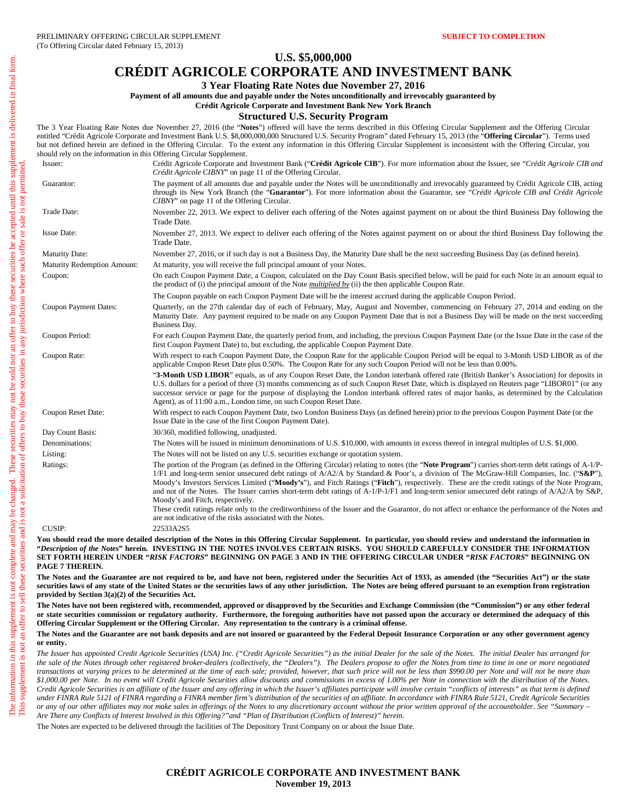### **U.S. \$5,000,000**

# **CRÉDIT AGRICOLE CORPORATE AND INVESTMENT BANK**

**3 Year Floating Rate Notes due November 27, 2016** 

**Payment of all amounts due and payable under the Notes unconditionally and irrevocably guaranteed by** 

**Crédit Agricole Corporate and Investment Bank New York Branch**

### **Structured U.S. Security Program**

The 3 Year Floating Rate Notes due November 27, 2016 (the "**Notes**") offered will have the terms described in this Offering Circular Supplement and the Offering Circular entitled "Crédit Agricole Corporate and Investment Bank U.S. \$8,000,000,000 Structured U.S. Security Program" dated February 15, 2013 (the "**Offering Circular**"). Terms used but not defined herein are defined in the Offering Circular. To the extent any information in this Offering Circular Supplement is inconsistent with the Offering Circular, you should rely on the information in this Offering Circular Supplement. Issuer: Crédit Agricole Corporate and Investment Bank ("**Crédit Agricole CIB**"). For more information about the Issuer, see "*Crédit Agricole CIB and Crédit Agricole CIBNY*" on page 11 of the Offering Circular. Guarantor: The payment of all amounts due and payable under the Notes will be unconditionally and irrevocably guaranteed by Crédit Agricole CIB, acting through its New York Branch (the "**Guarantor**"). For more information about the Guarantor, see "*Crédit Agricole CIB and Crédit Agricole CIBNY*" on page 11 of the Offering Circular. Trade Date: November 22, 2013. We expect to deliver each offering of the Notes against payment on or about the third Business Day following the Trade Date. Issue Date: November 27, 2013. We expect to deliver each offering of the Notes against payment on or about the third Business Day following the Trade Date. Maturity Date: November 27, 2016, or if such day is not a Business Day, the Maturity Date shall be the next succeeding Business Day (as defined herein). Maturity Redemption Amount: At maturity, you will receive the full principal amount of your Notes. Coupon: On each Coupon Payment Date, a Coupon, calculated on the Day Count Basis specified below, will be paid for each Note in an amount equal to the product of (i) the principal amount of the Note *multiplied by* (ii) the then applicable Coupon Rate. The Coupon payable on each Coupon Payment Date will be the interest accrued during the applicable Coupon Period. Coupon Payment Dates: Quarterly, on the 27th calendar day of each of February, May, August and November, commencing on February 27, 2014 and ending on the

Maturity Date. Any payment required to be made on any Coupon Payment Date that is not a Business Day will be made on the next succeeding

Business Day. Coupon Period: For each Coupon Payment Date, the quarterly period from, and including, the previous Coupon Payment Date (or the Issue Date in the case of the first Coupon Payment Date) to, but excluding, the applicable Coupon Payment Date.

Coupon Rate: With respect to each Coupon Payment Date, the Coupon Rate for the applicable Coupon Period will be equal to 3-Month USD LIBOR as of the applicable Coupon Reset Date plus 0.50%. The Coupon Rate for any such Coupon Period will not be less than 0.00%.

> "**3-Month USD LIBOR**" equals, as of any Coupon Reset Date, the London interbank offered rate (British Banker's Association) for deposits in U.S. dollars for a period of three (3) months commencing as of such Coupon Reset Date, which is displayed on Reuters page "LIBOR01" (or any successor service or page for the purpose of displaying the London interbank offered rates of major banks, as determined by the Calculation Agent), as of 11:00 a.m., London time, on such Coupon Reset Date.

Coupon Reset Date: With respect to each Coupon Payment Date, two London Business Days (as defined herein) prior to the previous Coupon Payment Date (or the Issue Date in the case of the first Coupon Payment Date).

Day Count Basis: 30/360, modified following, unadjusted.

Denominations: The Notes will be issued in minimum denominations of U.S. \$10,000, with amounts in excess thereof in integral multiples of U.S. \$1,000.

Listing: The Notes will not be listed on any U.S. securities exchange or quotation system.

Ratings: The portion of the Program (as defined in the Offering Circular) relating to notes (the "**Note Program**") carries short-term debt ratings of A-1/P-1/F1 and long-term senior unsecured debt ratings of A/A2/A by Standard & Poor's, a division of The McGraw-Hill Companies, Inc. ("**S&P**"), Moody's Investors Services Limited ("**Moody's**"), and Fitch Ratings ("**Fitch**"), respectively. These are the credit ratings of the Note Program, and not of the Notes. The Issuer carries short-term debt ratings of A-1/P-1/F1 and long-term senior unsecured debt ratings of A/A2/A by S&P, Moody's and Fitch, respectively.

These credit ratings relate only to the creditworthiness of the Issuer and the Guarantor, do not affect or enhance the performance of the Notes and are not indicative of the risks associated with the Notes.

CUSIP: 22533A2S5

You should read the more detailed description of the Notes in this Offering Circular Supplement. In particular, you should review and understand the information in **"***Description of the Notes***" herein. INVESTING IN THE NOTES INVOLVES CERTAIN RISKS. YOU SHOULD CAREFULLY CONSIDER THE INFORMATION SET FORTH HEREIN UNDER "***RISK FACTORS***" BEGINNING ON PAGE 3 AND IN THE OFFERING CIRCULAR UNDER "***RISK FACTORS***" BEGINNING ON PAGE 7 THEREIN.** 

The Notes and the Guarantee are not required to be, and have not been, registered under the Securities Act of 1933, as amended (the "Securities Act") or the state **securities laws of any state of the United States or the securities laws of any other jurisdiction. The Notes are being offered pursuant to an exemption from registration provided by Section 3(a)(2) of the Securities Act.** 

**The Notes have not been registered with, recommended, approved or disapproved by the Securities and Exchange Commission (the "Commission") or any other federal or state securities commission or regulatory authority. Furthermore, the foregoing authorities have not passed upon the accuracy or determined the adequacy of this Offering Circular Supplement or the Offering Circular. Any representation to the contrary is a criminal offense.** 

#### **The Notes and the Guarantee are not bank deposits and are not insured or guaranteed by the Federal Deposit Insurance Corporation or any other government agency or entity.**

*The Issuer has appointed Credit Agricole Securities (USA) Inc. ("Credit Agricole Securities") as the initial Dealer for the sale of the Notes. The initial Dealer has arranged for the sale of the Notes through other registered broker-dealers (collectively, the "Dealers"). The Dealers propose to offer the Notes from time to time in one or more negotiated transactions at varying prices to be determined at the time of each sale; provided, however, that such price will not be less than \$990.00 per Note and will not be more than \$1,000.00 per Note. In no event will Credit Agricole Securities allow discounts and commissions in excess of 1.00% per Note in connection with the distribution of the Notes. Credit Agricole Securities is an affiliate of the Issuer and any offering in which the Issuer's affiliates participate will involve certain "conflicts of interests" as that term is defined under FINRA Rule 5121 of FINRA regarding a FINRA member firm's distribution of the securities of an affiliate. In accordance with FINRA Rule 5121, Credit Agricole Securities or any of our other affiliates may not make sales in offerings of the Notes to any discretionary account without the prior written approval of the accountholder. See "Summary – Are There any Conflicts of Interest Involved in this Offering?"and "Plan of Distribution (Conflicts of Interest)" herein.* 

The Notes are expected to be delivered through the facilities of The Depository Trust Company on or about the Issue Date.

### **CRÉDIT AGRICOLE CORPORATE AND INVESTMENT BANK November 19, 2013**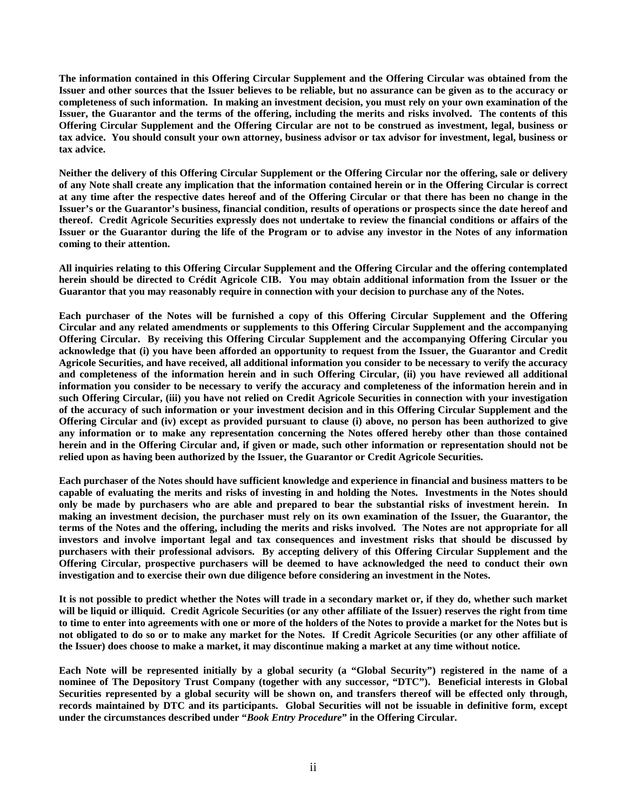**The information contained in this Offering Circular Supplement and the Offering Circular was obtained from the Issuer and other sources that the Issuer believes to be reliable, but no assurance can be given as to the accuracy or completeness of such information. In making an investment decision, you must rely on your own examination of the Issuer, the Guarantor and the terms of the offering, including the merits and risks involved. The contents of this Offering Circular Supplement and the Offering Circular are not to be construed as investment, legal, business or tax advice. You should consult your own attorney, business advisor or tax advisor for investment, legal, business or tax advice.** 

**Neither the delivery of this Offering Circular Supplement or the Offering Circular nor the offering, sale or delivery of any Note shall create any implication that the information contained herein or in the Offering Circular is correct at any time after the respective dates hereof and of the Offering Circular or that there has been no change in the Issuer's or the Guarantor's business, financial condition, results of operations or prospects since the date hereof and thereof. Credit Agricole Securities expressly does not undertake to review the financial conditions or affairs of the Issuer or the Guarantor during the life of the Program or to advise any investor in the Notes of any information coming to their attention.** 

**All inquiries relating to this Offering Circular Supplement and the Offering Circular and the offering contemplated herein should be directed to Crédit Agricole CIB. You may obtain additional information from the Issuer or the Guarantor that you may reasonably require in connection with your decision to purchase any of the Notes.** 

**Each purchaser of the Notes will be furnished a copy of this Offering Circular Supplement and the Offering Circular and any related amendments or supplements to this Offering Circular Supplement and the accompanying Offering Circular. By receiving this Offering Circular Supplement and the accompanying Offering Circular you acknowledge that (i) you have been afforded an opportunity to request from the Issuer, the Guarantor and Credit Agricole Securities, and have received, all additional information you consider to be necessary to verify the accuracy and completeness of the information herein and in such Offering Circular, (ii) you have reviewed all additional information you consider to be necessary to verify the accuracy and completeness of the information herein and in such Offering Circular, (iii) you have not relied on Credit Agricole Securities in connection with your investigation of the accuracy of such information or your investment decision and in this Offering Circular Supplement and the Offering Circular and (iv) except as provided pursuant to clause (i) above, no person has been authorized to give any information or to make any representation concerning the Notes offered hereby other than those contained herein and in the Offering Circular and, if given or made, such other information or representation should not be relied upon as having been authorized by the Issuer, the Guarantor or Credit Agricole Securities.** 

**Each purchaser of the Notes should have sufficient knowledge and experience in financial and business matters to be capable of evaluating the merits and risks of investing in and holding the Notes. Investments in the Notes should only be made by purchasers who are able and prepared to bear the substantial risks of investment herein. In making an investment decision, the purchaser must rely on its own examination of the Issuer, the Guarantor, the terms of the Notes and the offering, including the merits and risks involved. The Notes are not appropriate for all investors and involve important legal and tax consequences and investment risks that should be discussed by purchasers with their professional advisors. By accepting delivery of this Offering Circular Supplement and the Offering Circular, prospective purchasers will be deemed to have acknowledged the need to conduct their own investigation and to exercise their own due diligence before considering an investment in the Notes.** 

**It is not possible to predict whether the Notes will trade in a secondary market or, if they do, whether such market will be liquid or illiquid. Credit Agricole Securities (or any other affiliate of the Issuer) reserves the right from time to time to enter into agreements with one or more of the holders of the Notes to provide a market for the Notes but is not obligated to do so or to make any market for the Notes. If Credit Agricole Securities (or any other affiliate of the Issuer) does choose to make a market, it may discontinue making a market at any time without notice.** 

**Each Note will be represented initially by a global security (a "Global Security") registered in the name of a nominee of The Depository Trust Company (together with any successor, "DTC"). Beneficial interests in Global Securities represented by a global security will be shown on, and transfers thereof will be effected only through, records maintained by DTC and its participants. Global Securities will not be issuable in definitive form, except under the circumstances described under "***Book Entry Procedure***" in the Offering Circular.**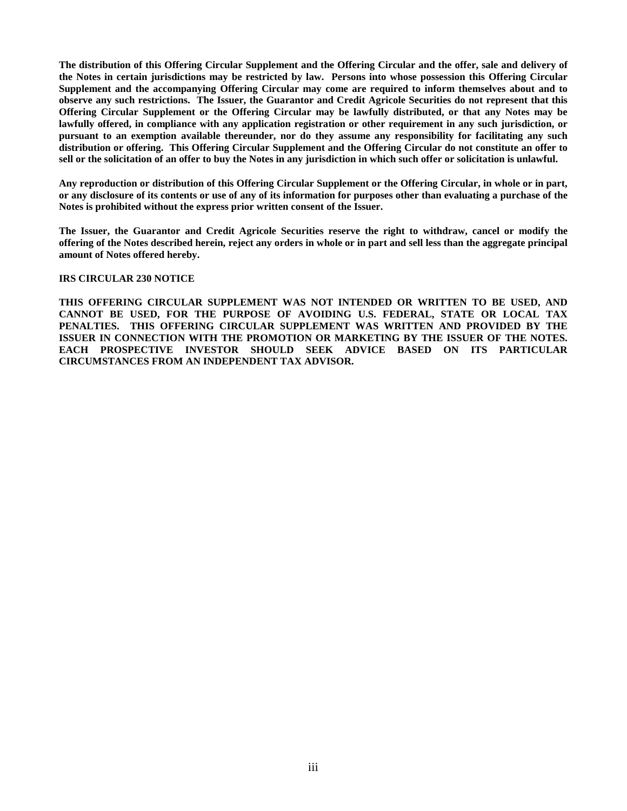**The distribution of this Offering Circular Supplement and the Offering Circular and the offer, sale and delivery of the Notes in certain jurisdictions may be restricted by law. Persons into whose possession this Offering Circular Supplement and the accompanying Offering Circular may come are required to inform themselves about and to observe any such restrictions. The Issuer, the Guarantor and Credit Agricole Securities do not represent that this Offering Circular Supplement or the Offering Circular may be lawfully distributed, or that any Notes may be lawfully offered, in compliance with any application registration or other requirement in any such jurisdiction, or pursuant to an exemption available thereunder, nor do they assume any responsibility for facilitating any such distribution or offering. This Offering Circular Supplement and the Offering Circular do not constitute an offer to sell or the solicitation of an offer to buy the Notes in any jurisdiction in which such offer or solicitation is unlawful.** 

**Any reproduction or distribution of this Offering Circular Supplement or the Offering Circular, in whole or in part, or any disclosure of its contents or use of any of its information for purposes other than evaluating a purchase of the Notes is prohibited without the express prior written consent of the Issuer.** 

**The Issuer, the Guarantor and Credit Agricole Securities reserve the right to withdraw, cancel or modify the offering of the Notes described herein, reject any orders in whole or in part and sell less than the aggregate principal amount of Notes offered hereby.** 

### **IRS CIRCULAR 230 NOTICE**

**THIS OFFERING CIRCULAR SUPPLEMENT WAS NOT INTENDED OR WRITTEN TO BE USED, AND CANNOT BE USED, FOR THE PURPOSE OF AVOIDING U.S. FEDERAL, STATE OR LOCAL TAX PENALTIES. THIS OFFERING CIRCULAR SUPPLEMENT WAS WRITTEN AND PROVIDED BY THE ISSUER IN CONNECTION WITH THE PROMOTION OR MARKETING BY THE ISSUER OF THE NOTES. EACH PROSPECTIVE INVESTOR SHOULD SEEK ADVICE BASED ON ITS PARTICULAR CIRCUMSTANCES FROM AN INDEPENDENT TAX ADVISOR.**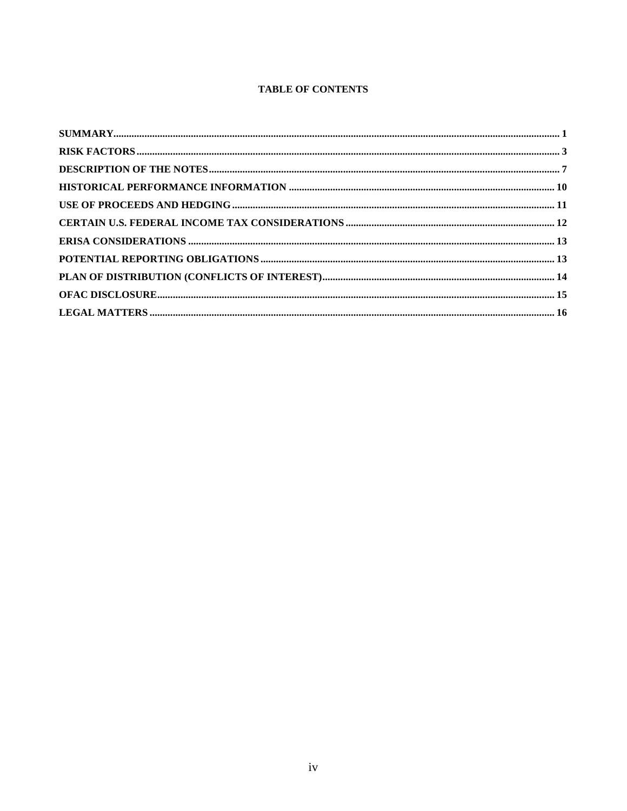## **TABLE OF CONTENTS**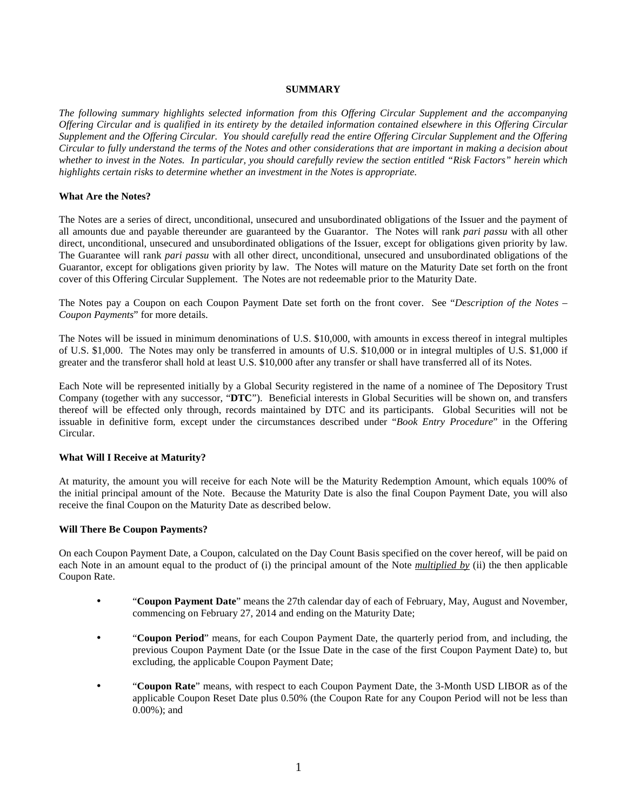### **SUMMARY**

*The following summary highlights selected information from this Offering Circular Supplement and the accompanying Offering Circular and is qualified in its entirety by the detailed information contained elsewhere in this Offering Circular Supplement and the Offering Circular. You should carefully read the entire Offering Circular Supplement and the Offering Circular to fully understand the terms of the Notes and other considerations that are important in making a decision about whether to invest in the Notes. In particular, you should carefully review the section entitled "Risk Factors" herein which highlights certain risks to determine whether an investment in the Notes is appropriate.* 

### **What Are the Notes?**

The Notes are a series of direct, unconditional, unsecured and unsubordinated obligations of the Issuer and the payment of all amounts due and payable thereunder are guaranteed by the Guarantor. The Notes will rank *pari passu* with all other direct, unconditional, unsecured and unsubordinated obligations of the Issuer, except for obligations given priority by law. The Guarantee will rank *pari passu* with all other direct, unconditional, unsecured and unsubordinated obligations of the Guarantor, except for obligations given priority by law. The Notes will mature on the Maturity Date set forth on the front cover of this Offering Circular Supplement. The Notes are not redeemable prior to the Maturity Date.

The Notes pay a Coupon on each Coupon Payment Date set forth on the front cover. See "*Description of the Notes – Coupon Payments*" for more details.

The Notes will be issued in minimum denominations of U.S. \$10,000, with amounts in excess thereof in integral multiples of U.S. \$1,000. The Notes may only be transferred in amounts of U.S. \$10,000 or in integral multiples of U.S. \$1,000 if greater and the transferor shall hold at least U.S. \$10,000 after any transfer or shall have transferred all of its Notes.

Each Note will be represented initially by a Global Security registered in the name of a nominee of The Depository Trust Company (together with any successor, "**DTC**"). Beneficial interests in Global Securities will be shown on, and transfers thereof will be effected only through, records maintained by DTC and its participants. Global Securities will not be issuable in definitive form, except under the circumstances described under "*Book Entry Procedure*" in the Offering Circular.

### **What Will I Receive at Maturity?**

At maturity, the amount you will receive for each Note will be the Maturity Redemption Amount, which equals 100% of the initial principal amount of the Note. Because the Maturity Date is also the final Coupon Payment Date, you will also receive the final Coupon on the Maturity Date as described below.

### **Will There Be Coupon Payments?**

On each Coupon Payment Date, a Coupon, calculated on the Day Count Basis specified on the cover hereof, will be paid on each Note in an amount equal to the product of (i) the principal amount of the Note *multiplied by* (ii) the then applicable Coupon Rate.

- "**Coupon Payment Date**" means the 27th calendar day of each of February, May, August and November, commencing on February 27, 2014 and ending on the Maturity Date;
- "**Coupon Period**" means, for each Coupon Payment Date, the quarterly period from, and including, the previous Coupon Payment Date (or the Issue Date in the case of the first Coupon Payment Date) to, but excluding, the applicable Coupon Payment Date;
- "**Coupon Rate**" means, with respect to each Coupon Payment Date, the 3-Month USD LIBOR as of the applicable Coupon Reset Date plus 0.50% (the Coupon Rate for any Coupon Period will not be less than 0.00%); and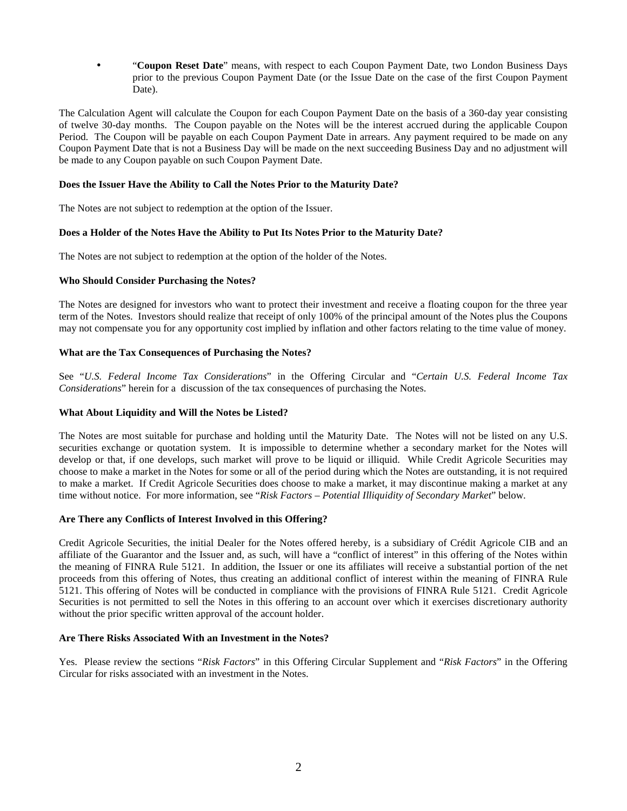• "**Coupon Reset Date**" means, with respect to each Coupon Payment Date, two London Business Days prior to the previous Coupon Payment Date (or the Issue Date on the case of the first Coupon Payment Date).

The Calculation Agent will calculate the Coupon for each Coupon Payment Date on the basis of a 360-day year consisting of twelve 30-day months. The Coupon payable on the Notes will be the interest accrued during the applicable Coupon Period. The Coupon will be payable on each Coupon Payment Date in arrears. Any payment required to be made on any Coupon Payment Date that is not a Business Day will be made on the next succeeding Business Day and no adjustment will be made to any Coupon payable on such Coupon Payment Date.

### **Does the Issuer Have the Ability to Call the Notes Prior to the Maturity Date?**

The Notes are not subject to redemption at the option of the Issuer.

### **Does a Holder of the Notes Have the Ability to Put Its Notes Prior to the Maturity Date?**

The Notes are not subject to redemption at the option of the holder of the Notes.

### **Who Should Consider Purchasing the Notes?**

The Notes are designed for investors who want to protect their investment and receive a floating coupon for the three year term of the Notes. Investors should realize that receipt of only 100% of the principal amount of the Notes plus the Coupons may not compensate you for any opportunity cost implied by inflation and other factors relating to the time value of money.

### **What are the Tax Consequences of Purchasing the Notes?**

See "*U.S. Federal Income Tax Considerations*" in the Offering Circular and "*Certain U.S. Federal Income Tax Considerations*" herein for a discussion of the tax consequences of purchasing the Notes.

### **What About Liquidity and Will the Notes be Listed?**

The Notes are most suitable for purchase and holding until the Maturity Date. The Notes will not be listed on any U.S. securities exchange or quotation system. It is impossible to determine whether a secondary market for the Notes will develop or that, if one develops, such market will prove to be liquid or illiquid. While Credit Agricole Securities may choose to make a market in the Notes for some or all of the period during which the Notes are outstanding, it is not required to make a market. If Credit Agricole Securities does choose to make a market, it may discontinue making a market at any time without notice. For more information, see "*Risk Factors – Potential Illiquidity of Secondary Market*" below.

### **Are There any Conflicts of Interest Involved in this Offering?**

Credit Agricole Securities, the initial Dealer for the Notes offered hereby, is a subsidiary of Crédit Agricole CIB and an affiliate of the Guarantor and the Issuer and, as such, will have a "conflict of interest" in this offering of the Notes within the meaning of FINRA Rule 5121. In addition, the Issuer or one its affiliates will receive a substantial portion of the net proceeds from this offering of Notes, thus creating an additional conflict of interest within the meaning of FINRA Rule 5121. This offering of Notes will be conducted in compliance with the provisions of FINRA Rule 5121. Credit Agricole Securities is not permitted to sell the Notes in this offering to an account over which it exercises discretionary authority without the prior specific written approval of the account holder.

### **Are There Risks Associated With an Investment in the Notes?**

Yes. Please review the sections "*Risk Factors*" in this Offering Circular Supplement and "*Risk Factors*" in the Offering Circular for risks associated with an investment in the Notes.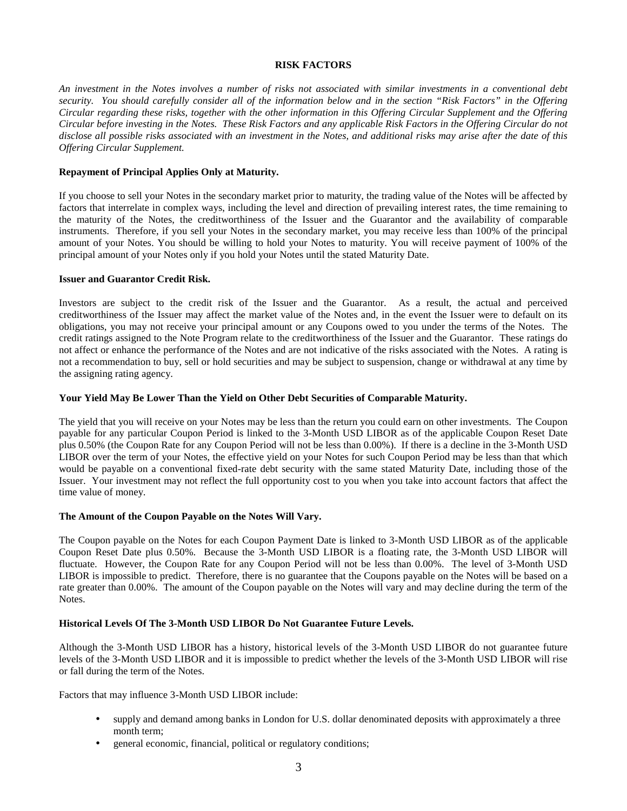### **RISK FACTORS**

*An investment in the Notes involves a number of risks not associated with similar investments in a conventional debt security. You should carefully consider all of the information below and in the section "Risk Factors" in the Offering Circular regarding these risks, together with the other information in this Offering Circular Supplement and the Offering Circular before investing in the Notes. These Risk Factors and any applicable Risk Factors in the Offering Circular do not disclose all possible risks associated with an investment in the Notes, and additional risks may arise after the date of this Offering Circular Supplement.* 

### **Repayment of Principal Applies Only at Maturity.**

If you choose to sell your Notes in the secondary market prior to maturity, the trading value of the Notes will be affected by factors that interrelate in complex ways, including the level and direction of prevailing interest rates, the time remaining to the maturity of the Notes, the creditworthiness of the Issuer and the Guarantor and the availability of comparable instruments. Therefore, if you sell your Notes in the secondary market, you may receive less than 100% of the principal amount of your Notes. You should be willing to hold your Notes to maturity. You will receive payment of 100% of the principal amount of your Notes only if you hold your Notes until the stated Maturity Date.

### **Issuer and Guarantor Credit Risk.**

Investors are subject to the credit risk of the Issuer and the Guarantor. As a result, the actual and perceived creditworthiness of the Issuer may affect the market value of the Notes and, in the event the Issuer were to default on its obligations, you may not receive your principal amount or any Coupons owed to you under the terms of the Notes. The credit ratings assigned to the Note Program relate to the creditworthiness of the Issuer and the Guarantor. These ratings do not affect or enhance the performance of the Notes and are not indicative of the risks associated with the Notes. A rating is not a recommendation to buy, sell or hold securities and may be subject to suspension, change or withdrawal at any time by the assigning rating agency.

### **Your Yield May Be Lower Than the Yield on Other Debt Securities of Comparable Maturity.**

The yield that you will receive on your Notes may be less than the return you could earn on other investments. The Coupon payable for any particular Coupon Period is linked to the 3-Month USD LIBOR as of the applicable Coupon Reset Date plus 0.50% (the Coupon Rate for any Coupon Period will not be less than 0.00%). If there is a decline in the 3-Month USD LIBOR over the term of your Notes, the effective yield on your Notes for such Coupon Period may be less than that which would be payable on a conventional fixed-rate debt security with the same stated Maturity Date, including those of the Issuer. Your investment may not reflect the full opportunity cost to you when you take into account factors that affect the time value of money.

### **The Amount of the Coupon Payable on the Notes Will Vary.**

The Coupon payable on the Notes for each Coupon Payment Date is linked to 3-Month USD LIBOR as of the applicable Coupon Reset Date plus 0.50%. Because the 3-Month USD LIBOR is a floating rate, the 3-Month USD LIBOR will fluctuate. However, the Coupon Rate for any Coupon Period will not be less than 0.00%. The level of 3-Month USD LIBOR is impossible to predict. Therefore, there is no guarantee that the Coupons payable on the Notes will be based on a rate greater than 0.00%. The amount of the Coupon payable on the Notes will vary and may decline during the term of the Notes.

### **Historical Levels Of The 3-Month USD LIBOR Do Not Guarantee Future Levels.**

Although the 3-Month USD LIBOR has a history, historical levels of the 3-Month USD LIBOR do not guarantee future levels of the 3-Month USD LIBOR and it is impossible to predict whether the levels of the 3-Month USD LIBOR will rise or fall during the term of the Notes.

Factors that may influence 3-Month USD LIBOR include:

- supply and demand among banks in London for U.S. dollar denominated deposits with approximately a three month term;
- general economic, financial, political or regulatory conditions;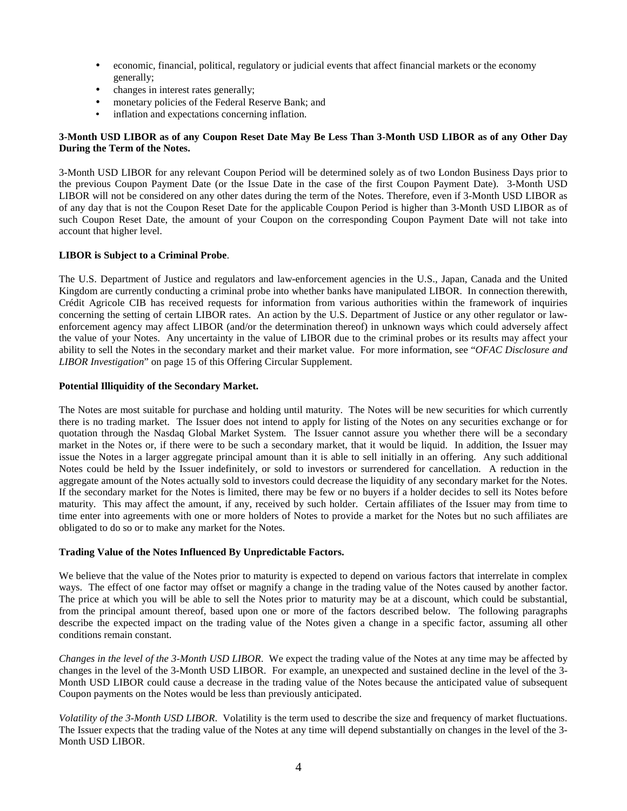- economic, financial, political, regulatory or judicial events that affect financial markets or the economy generally;
- changes in interest rates generally;
- monetary policies of the Federal Reserve Bank; and
- inflation and expectations concerning inflation.

### **3-Month USD LIBOR as of any Coupon Reset Date May Be Less Than 3-Month USD LIBOR as of any Other Day During the Term of the Notes.**

3-Month USD LIBOR for any relevant Coupon Period will be determined solely as of two London Business Days prior to the previous Coupon Payment Date (or the Issue Date in the case of the first Coupon Payment Date). 3-Month USD LIBOR will not be considered on any other dates during the term of the Notes. Therefore, even if 3-Month USD LIBOR as of any day that is not the Coupon Reset Date for the applicable Coupon Period is higher than 3-Month USD LIBOR as of such Coupon Reset Date, the amount of your Coupon on the corresponding Coupon Payment Date will not take into account that higher level.

### **LIBOR is Subject to a Criminal Probe**.

The U.S. Department of Justice and regulators and law-enforcement agencies in the U.S., Japan, Canada and the United Kingdom are currently conducting a criminal probe into whether banks have manipulated LIBOR. In connection therewith, Crédit Agricole CIB has received requests for information from various authorities within the framework of inquiries concerning the setting of certain LIBOR rates. An action by the U.S. Department of Justice or any other regulator or lawenforcement agency may affect LIBOR (and/or the determination thereof) in unknown ways which could adversely affect the value of your Notes. Any uncertainty in the value of LIBOR due to the criminal probes or its results may affect your ability to sell the Notes in the secondary market and their market value. For more information, see "*OFAC Disclosure and LIBOR Investigation*" on page 15 of this Offering Circular Supplement.

### **Potential Illiquidity of the Secondary Market.**

The Notes are most suitable for purchase and holding until maturity. The Notes will be new securities for which currently there is no trading market. The Issuer does not intend to apply for listing of the Notes on any securities exchange or for quotation through the Nasdaq Global Market System. The Issuer cannot assure you whether there will be a secondary market in the Notes or, if there were to be such a secondary market, that it would be liquid. In addition, the Issuer may issue the Notes in a larger aggregate principal amount than it is able to sell initially in an offering. Any such additional Notes could be held by the Issuer indefinitely, or sold to investors or surrendered for cancellation. A reduction in the aggregate amount of the Notes actually sold to investors could decrease the liquidity of any secondary market for the Notes. If the secondary market for the Notes is limited, there may be few or no buyers if a holder decides to sell its Notes before maturity. This may affect the amount, if any, received by such holder. Certain affiliates of the Issuer may from time to time enter into agreements with one or more holders of Notes to provide a market for the Notes but no such affiliates are obligated to do so or to make any market for the Notes.

### **Trading Value of the Notes Influenced By Unpredictable Factors.**

We believe that the value of the Notes prior to maturity is expected to depend on various factors that interrelate in complex ways. The effect of one factor may offset or magnify a change in the trading value of the Notes caused by another factor. The price at which you will be able to sell the Notes prior to maturity may be at a discount, which could be substantial, from the principal amount thereof, based upon one or more of the factors described below. The following paragraphs describe the expected impact on the trading value of the Notes given a change in a specific factor, assuming all other conditions remain constant.

*Changes in the level of the 3-Month USD LIBOR*. We expect the trading value of the Notes at any time may be affected by changes in the level of the 3-Month USD LIBOR. For example, an unexpected and sustained decline in the level of the 3- Month USD LIBOR could cause a decrease in the trading value of the Notes because the anticipated value of subsequent Coupon payments on the Notes would be less than previously anticipated.

*Volatility of the 3-Month USD LIBOR*. Volatility is the term used to describe the size and frequency of market fluctuations. The Issuer expects that the trading value of the Notes at any time will depend substantially on changes in the level of the 3- Month USD LIBOR.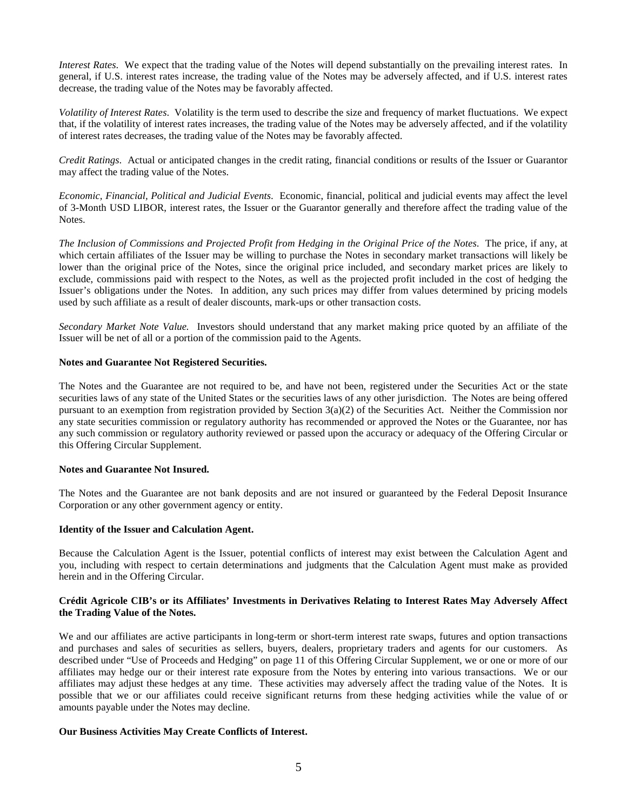*Interest Rates*. We expect that the trading value of the Notes will depend substantially on the prevailing interest rates. In general, if U.S. interest rates increase, the trading value of the Notes may be adversely affected, and if U.S. interest rates decrease, the trading value of the Notes may be favorably affected.

*Volatility of Interest Rates*. Volatility is the term used to describe the size and frequency of market fluctuations. We expect that, if the volatility of interest rates increases, the trading value of the Notes may be adversely affected, and if the volatility of interest rates decreases, the trading value of the Notes may be favorably affected.

*Credit Ratings*. Actual or anticipated changes in the credit rating, financial conditions or results of the Issuer or Guarantor may affect the trading value of the Notes.

*Economic, Financial, Political and Judicial Events*. Economic, financial, political and judicial events may affect the level of 3-Month USD LIBOR, interest rates, the Issuer or the Guarantor generally and therefore affect the trading value of the Notes.

*The Inclusion of Commissions and Projected Profit from Hedging in the Original Price of the Notes*. The price, if any, at which certain affiliates of the Issuer may be willing to purchase the Notes in secondary market transactions will likely be lower than the original price of the Notes, since the original price included, and secondary market prices are likely to exclude, commissions paid with respect to the Notes, as well as the projected profit included in the cost of hedging the Issuer's obligations under the Notes. In addition, any such prices may differ from values determined by pricing models used by such affiliate as a result of dealer discounts, mark-ups or other transaction costs.

*Secondary Market Note Value.* Investors should understand that any market making price quoted by an affiliate of the Issuer will be net of all or a portion of the commission paid to the Agents.

### **Notes and Guarantee Not Registered Securities.**

The Notes and the Guarantee are not required to be, and have not been, registered under the Securities Act or the state securities laws of any state of the United States or the securities laws of any other jurisdiction. The Notes are being offered pursuant to an exemption from registration provided by Section 3(a)(2) of the Securities Act. Neither the Commission nor any state securities commission or regulatory authority has recommended or approved the Notes or the Guarantee, nor has any such commission or regulatory authority reviewed or passed upon the accuracy or adequacy of the Offering Circular or this Offering Circular Supplement.

### **Notes and Guarantee Not Insured.**

The Notes and the Guarantee are not bank deposits and are not insured or guaranteed by the Federal Deposit Insurance Corporation or any other government agency or entity.

### **Identity of the Issuer and Calculation Agent.**

Because the Calculation Agent is the Issuer, potential conflicts of interest may exist between the Calculation Agent and you, including with respect to certain determinations and judgments that the Calculation Agent must make as provided herein and in the Offering Circular.

### **Crédit Agricole CIB's or its Affiliates' Investments in Derivatives Relating to Interest Rates May Adversely Affect the Trading Value of the Notes.**

We and our affiliates are active participants in long-term or short-term interest rate swaps, futures and option transactions and purchases and sales of securities as sellers, buyers, dealers, proprietary traders and agents for our customers. As described under "Use of Proceeds and Hedging" on page 11 of this Offering Circular Supplement, we or one or more of our affiliates may hedge our or their interest rate exposure from the Notes by entering into various transactions. We or our affiliates may adjust these hedges at any time. These activities may adversely affect the trading value of the Notes. It is possible that we or our affiliates could receive significant returns from these hedging activities while the value of or amounts payable under the Notes may decline.

### **Our Business Activities May Create Conflicts of Interest.**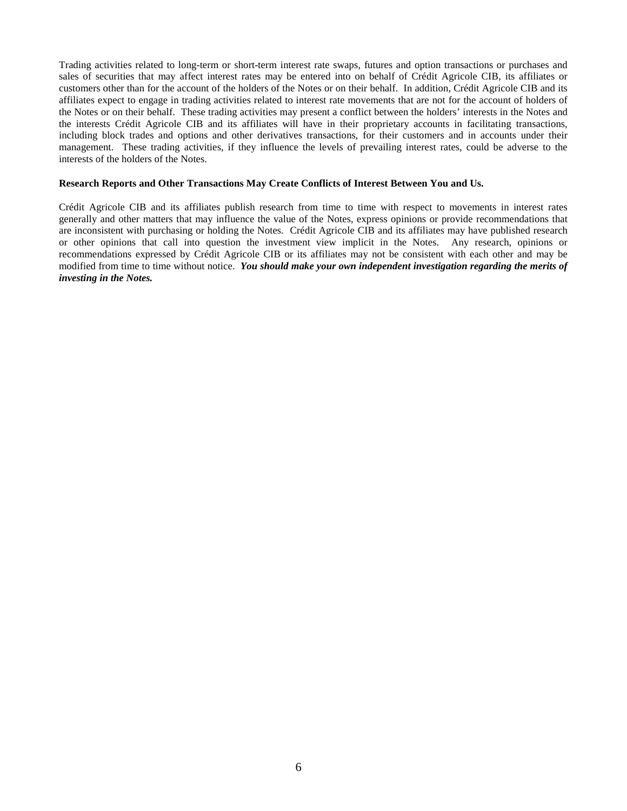Trading activities related to long-term or short-term interest rate swaps, futures and option transactions or purchases and sales of securities that may affect interest rates may be entered into on behalf of Crédit Agricole CIB, its affiliates or customers other than for the account of the holders of the Notes or on their behalf. In addition, Crédit Agricole CIB and its affiliates expect to engage in trading activities related to interest rate movements that are not for the account of holders of the Notes or on their behalf. These trading activities may present a conflict between the holders' interests in the Notes and the interests Crédit Agricole CIB and its affiliates will have in their proprietary accounts in facilitating transactions, including block trades and options and other derivatives transactions, for their customers and in accounts under their management. These trading activities, if they influence the levels of prevailing interest rates, could be adverse to the interests of the holders of the Notes.

#### **Research Reports and Other Transactions May Create Conflicts of Interest Between You and Us.**

Crédit Agricole CIB and its affiliates publish research from time to time with respect to movements in interest rates generally and other matters that may influence the value of the Notes, express opinions or provide recommendations that are inconsistent with purchasing or holding the Notes. Crédit Agricole CIB and its affiliates may have published research or other opinions that call into question the investment view implicit in the Notes. Any research, opinions or recommendations expressed by Crédit Agricole CIB or its affiliates may not be consistent with each other and may be modified from time to time without notice. *You should make your own independent investigation regarding the merits of investing in the Notes.*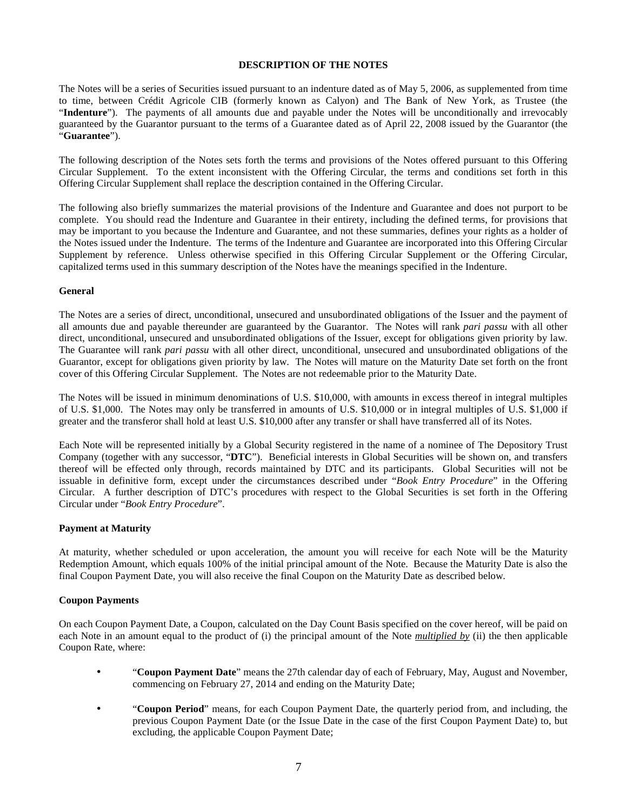### **DESCRIPTION OF THE NOTES**

The Notes will be a series of Securities issued pursuant to an indenture dated as of May 5, 2006, as supplemented from time to time, between Crédit Agricole CIB (formerly known as Calyon) and The Bank of New York, as Trustee (the "**Indenture**"). The payments of all amounts due and payable under the Notes will be unconditionally and irrevocably guaranteed by the Guarantor pursuant to the terms of a Guarantee dated as of April 22, 2008 issued by the Guarantor (the "**Guarantee**").

The following description of the Notes sets forth the terms and provisions of the Notes offered pursuant to this Offering Circular Supplement. To the extent inconsistent with the Offering Circular, the terms and conditions set forth in this Offering Circular Supplement shall replace the description contained in the Offering Circular.

The following also briefly summarizes the material provisions of the Indenture and Guarantee and does not purport to be complete. You should read the Indenture and Guarantee in their entirety, including the defined terms, for provisions that may be important to you because the Indenture and Guarantee, and not these summaries, defines your rights as a holder of the Notes issued under the Indenture. The terms of the Indenture and Guarantee are incorporated into this Offering Circular Supplement by reference. Unless otherwise specified in this Offering Circular Supplement or the Offering Circular, capitalized terms used in this summary description of the Notes have the meanings specified in the Indenture.

### **General**

The Notes are a series of direct, unconditional, unsecured and unsubordinated obligations of the Issuer and the payment of all amounts due and payable thereunder are guaranteed by the Guarantor. The Notes will rank *pari passu* with all other direct, unconditional, unsecured and unsubordinated obligations of the Issuer, except for obligations given priority by law. The Guarantee will rank *pari passu* with all other direct, unconditional, unsecured and unsubordinated obligations of the Guarantor, except for obligations given priority by law. The Notes will mature on the Maturity Date set forth on the front cover of this Offering Circular Supplement. The Notes are not redeemable prior to the Maturity Date.

The Notes will be issued in minimum denominations of U.S. \$10,000, with amounts in excess thereof in integral multiples of U.S. \$1,000. The Notes may only be transferred in amounts of U.S. \$10,000 or in integral multiples of U.S. \$1,000 if greater and the transferor shall hold at least U.S. \$10,000 after any transfer or shall have transferred all of its Notes.

Each Note will be represented initially by a Global Security registered in the name of a nominee of The Depository Trust Company (together with any successor, "**DTC**"). Beneficial interests in Global Securities will be shown on, and transfers thereof will be effected only through, records maintained by DTC and its participants. Global Securities will not be issuable in definitive form, except under the circumstances described under "*Book Entry Procedure*" in the Offering Circular. A further description of DTC's procedures with respect to the Global Securities is set forth in the Offering Circular under "*Book Entry Procedure*".

### **Payment at Maturity**

At maturity, whether scheduled or upon acceleration, the amount you will receive for each Note will be the Maturity Redemption Amount, which equals 100% of the initial principal amount of the Note. Because the Maturity Date is also the final Coupon Payment Date, you will also receive the final Coupon on the Maturity Date as described below.

### **Coupon Payments**

On each Coupon Payment Date, a Coupon, calculated on the Day Count Basis specified on the cover hereof, will be paid on each Note in an amount equal to the product of (i) the principal amount of the Note *multiplied by* (ii) the then applicable Coupon Rate, where:

- "**Coupon Payment Date**" means the 27th calendar day of each of February, May, August and November, commencing on February 27, 2014 and ending on the Maturity Date;
- "**Coupon Period**" means, for each Coupon Payment Date, the quarterly period from, and including, the previous Coupon Payment Date (or the Issue Date in the case of the first Coupon Payment Date) to, but excluding, the applicable Coupon Payment Date;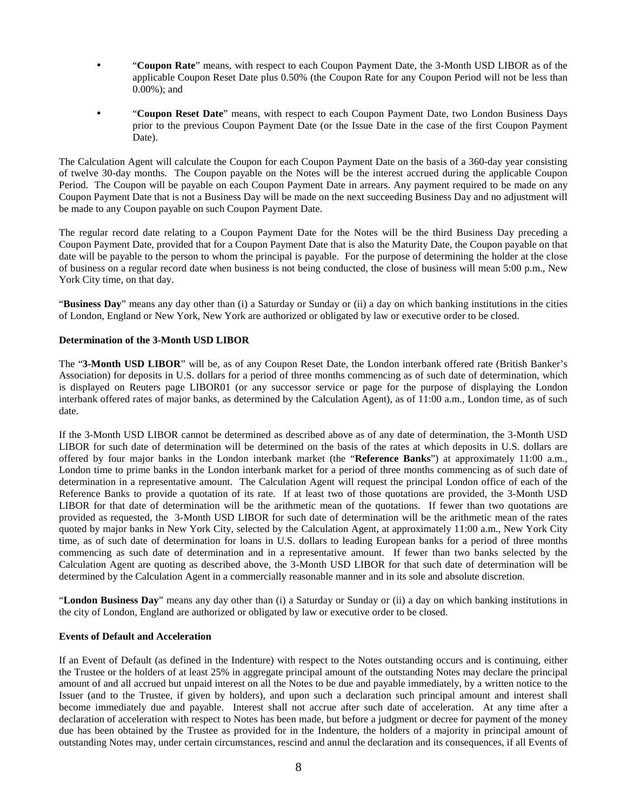- "**Coupon Rate**" means, with respect to each Coupon Payment Date, the 3-Month USD LIBOR as of the applicable Coupon Reset Date plus 0.50% (the Coupon Rate for any Coupon Period will not be less than 0.00%); and
- "**Coupon Reset Date**" means, with respect to each Coupon Payment Date, two London Business Days prior to the previous Coupon Payment Date (or the Issue Date in the case of the first Coupon Payment Date).

The Calculation Agent will calculate the Coupon for each Coupon Payment Date on the basis of a 360-day year consisting of twelve 30-day months. The Coupon payable on the Notes will be the interest accrued during the applicable Coupon Period. The Coupon will be payable on each Coupon Payment Date in arrears. Any payment required to be made on any Coupon Payment Date that is not a Business Day will be made on the next succeeding Business Day and no adjustment will be made to any Coupon payable on such Coupon Payment Date.

The regular record date relating to a Coupon Payment Date for the Notes will be the third Business Day preceding a Coupon Payment Date, provided that for a Coupon Payment Date that is also the Maturity Date, the Coupon payable on that date will be payable to the person to whom the principal is payable. For the purpose of determining the holder at the close of business on a regular record date when business is not being conducted, the close of business will mean 5:00 p.m., New York City time, on that day.

"**Business Day**" means any day other than (i) a Saturday or Sunday or (ii) a day on which banking institutions in the cities of London, England or New York, New York are authorized or obligated by law or executive order to be closed.

### **Determination of the 3-Month USD LIBOR**

The "**3-Month USD LIBOR**" will be, as of any Coupon Reset Date, the London interbank offered rate (British Banker's Association) for deposits in U.S. dollars for a period of three months commencing as of such date of determination, which is displayed on Reuters page LIBOR01 (or any successor service or page for the purpose of displaying the London interbank offered rates of major banks, as determined by the Calculation Agent), as of 11:00 a.m., London time, as of such date.

If the 3-Month USD LIBOR cannot be determined as described above as of any date of determination, the 3-Month USD LIBOR for such date of determination will be determined on the basis of the rates at which deposits in U.S. dollars are offered by four major banks in the London interbank market (the "**Reference Banks**") at approximately 11:00 a.m., London time to prime banks in the London interbank market for a period of three months commencing as of such date of determination in a representative amount. The Calculation Agent will request the principal London office of each of the Reference Banks to provide a quotation of its rate. If at least two of those quotations are provided, the 3-Month USD LIBOR for that date of determination will be the arithmetic mean of the quotations. If fewer than two quotations are provided as requested, the 3-Month USD LIBOR for such date of determination will be the arithmetic mean of the rates quoted by major banks in New York City, selected by the Calculation Agent, at approximately 11:00 a.m., New York City time, as of such date of determination for loans in U.S. dollars to leading European banks for a period of three months commencing as such date of determination and in a representative amount. If fewer than two banks selected by the Calculation Agent are quoting as described above, the 3-Month USD LIBOR for that such date of determination will be determined by the Calculation Agent in a commercially reasonable manner and in its sole and absolute discretion.

"**London Business Day**" means any day other than (i) a Saturday or Sunday or (ii) a day on which banking institutions in the city of London, England are authorized or obligated by law or executive order to be closed.

### **Events of Default and Acceleration**

If an Event of Default (as defined in the Indenture) with respect to the Notes outstanding occurs and is continuing, either the Trustee or the holders of at least 25% in aggregate principal amount of the outstanding Notes may declare the principal amount of and all accrued but unpaid interest on all the Notes to be due and payable immediately, by a written notice to the Issuer (and to the Trustee, if given by holders), and upon such a declaration such principal amount and interest shall become immediately due and payable. Interest shall not accrue after such date of acceleration. At any time after a declaration of acceleration with respect to Notes has been made, but before a judgment or decree for payment of the money due has been obtained by the Trustee as provided for in the Indenture, the holders of a majority in principal amount of outstanding Notes may, under certain circumstances, rescind and annul the declaration and its consequences, if all Events of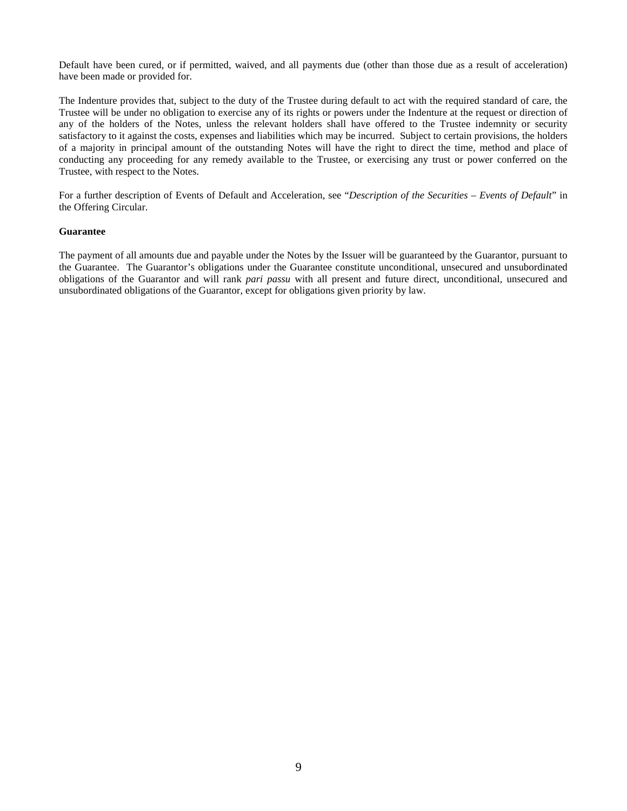Default have been cured, or if permitted, waived, and all payments due (other than those due as a result of acceleration) have been made or provided for.

The Indenture provides that, subject to the duty of the Trustee during default to act with the required standard of care, the Trustee will be under no obligation to exercise any of its rights or powers under the Indenture at the request or direction of any of the holders of the Notes, unless the relevant holders shall have offered to the Trustee indemnity or security satisfactory to it against the costs, expenses and liabilities which may be incurred. Subject to certain provisions, the holders of a majority in principal amount of the outstanding Notes will have the right to direct the time, method and place of conducting any proceeding for any remedy available to the Trustee, or exercising any trust or power conferred on the Trustee, with respect to the Notes.

For a further description of Events of Default and Acceleration, see "*Description of the Securities – Events of Default*" in the Offering Circular.

### **Guarantee**

The payment of all amounts due and payable under the Notes by the Issuer will be guaranteed by the Guarantor, pursuant to the Guarantee. The Guarantor's obligations under the Guarantee constitute unconditional, unsecured and unsubordinated obligations of the Guarantor and will rank *pari passu* with all present and future direct, unconditional, unsecured and unsubordinated obligations of the Guarantor, except for obligations given priority by law.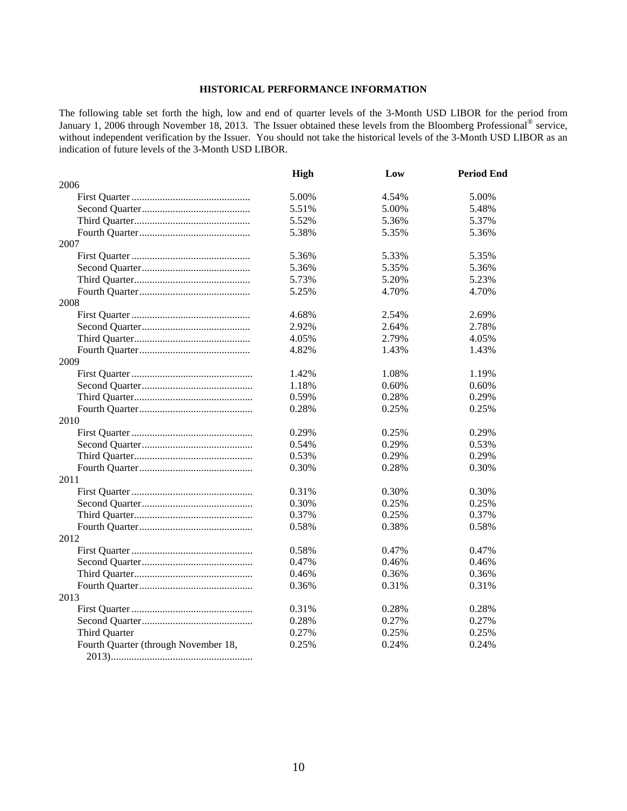### **HISTORICAL PERFORMANCE INFORMATION**

The following table set forth the high, low and end of quarter levels of the 3-Month USD LIBOR for the period from January 1, 2006 through November 18, 2013. The Issuer obtained these levels from the Bloomberg Professional® service, without independent verification by the Issuer. You should not take the historical levels of the 3-Month USD LIBOR as an indication of future levels of the 3-Month USD LIBOR.

|                                      | <b>High</b> | Low   | <b>Period End</b> |
|--------------------------------------|-------------|-------|-------------------|
| 2006                                 |             |       |                   |
|                                      | 5.00%       | 4.54% | 5.00%             |
|                                      | 5.51%       | 5.00% | 5.48%             |
|                                      | 5.52%       | 5.36% | 5.37%             |
|                                      | 5.38%       | 5.35% | 5.36%             |
| 2007                                 |             |       |                   |
|                                      | 5.36%       | 5.33% | 5.35%             |
|                                      | 5.36%       | 5.35% | 5.36%             |
|                                      | 5.73%       | 5.20% | 5.23%             |
|                                      | 5.25%       | 4.70% | 4.70%             |
| 2008                                 |             |       |                   |
|                                      | 4.68%       | 2.54% | 2.69%             |
|                                      | 2.92%       | 2.64% | 2.78%             |
|                                      | 4.05%       | 2.79% | 4.05%             |
|                                      | 4.82%       | 1.43% | 1.43%             |
| 2009                                 |             |       |                   |
|                                      | 1.42%       | 1.08% | 1.19%             |
|                                      | 1.18%       | 0.60% | 0.60%             |
|                                      | 0.59%       | 0.28% | 0.29%             |
|                                      | 0.28%       | 0.25% | 0.25%             |
| 2010                                 |             |       |                   |
|                                      | 0.29%       | 0.25% | 0.29%             |
|                                      | 0.54%       | 0.29% | 0.53%             |
|                                      | 0.53%       | 0.29% | 0.29%             |
|                                      | 0.30%       | 0.28% | 0.30%             |
| 2011                                 |             |       |                   |
|                                      | 0.31%       | 0.30% | 0.30%             |
|                                      | 0.30%       | 0.25% | 0.25%             |
|                                      | 0.37%       | 0.25% | 0.37%             |
|                                      | 0.58%       | 0.38% | 0.58%             |
| 2012                                 |             |       |                   |
|                                      | 0.58%       | 0.47% | 0.47%             |
|                                      | 0.47%       | 0.46% | 0.46%             |
|                                      | 0.46%       | 0.36% | 0.36%             |
|                                      | 0.36%       | 0.31% | 0.31%             |
| 2013                                 |             |       |                   |
|                                      | 0.31%       | 0.28% | 0.28%             |
|                                      | 0.28%       | 0.27% | 0.27%             |
| Third Quarter                        | 0.27%       | 0.25% | 0.25%             |
| Fourth Quarter (through November 18, | 0.25%       | 0.24% | 0.24%             |
|                                      |             |       |                   |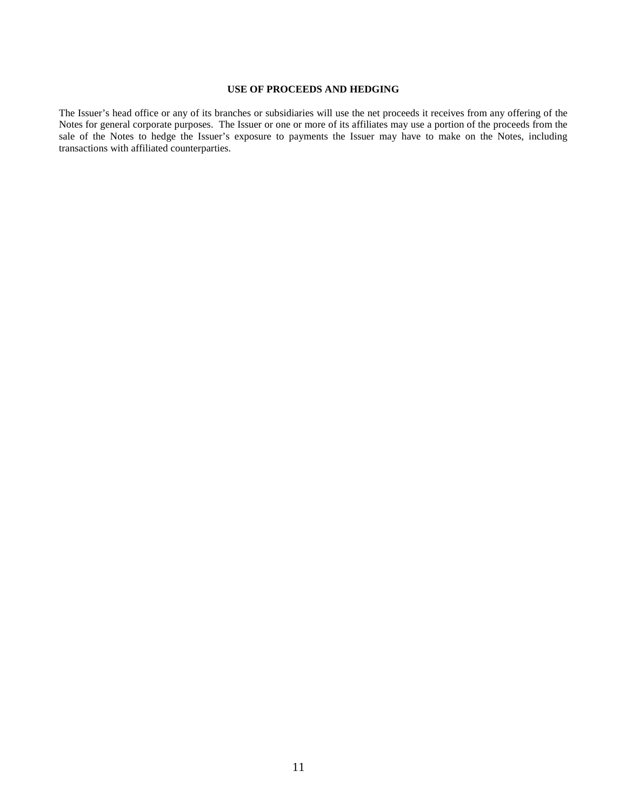### **USE OF PROCEEDS AND HEDGING**

The Issuer's head office or any of its branches or subsidiaries will use the net proceeds it receives from any offering of the Notes for general corporate purposes. The Issuer or one or more of its affiliates may use a portion of the proceeds from the sale of the Notes to hedge the Issuer's exposure to payments the Issuer may have to make on the Notes, including transactions with affiliated counterparties.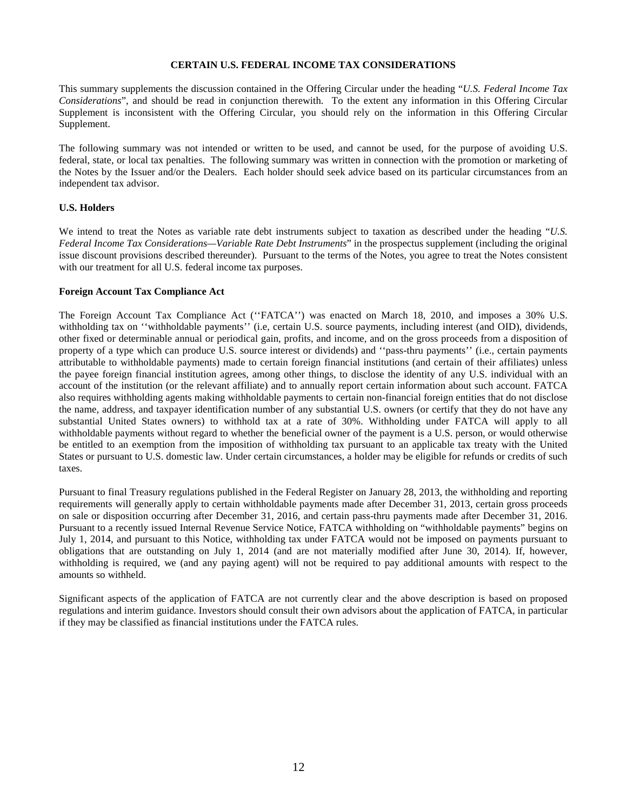### **CERTAIN U.S. FEDERAL INCOME TAX CONSIDERATIONS**

This summary supplements the discussion contained in the Offering Circular under the heading "*U.S. Federal Income Tax Considerations*", and should be read in conjunction therewith. To the extent any information in this Offering Circular Supplement is inconsistent with the Offering Circular, you should rely on the information in this Offering Circular Supplement.

The following summary was not intended or written to be used, and cannot be used, for the purpose of avoiding U.S. federal, state, or local tax penalties. The following summary was written in connection with the promotion or marketing of the Notes by the Issuer and/or the Dealers. Each holder should seek advice based on its particular circumstances from an independent tax advisor.

### **U.S. Holders**

We intend to treat the Notes as variable rate debt instruments subject to taxation as described under the heading "*U.S. Federal Income Tax Considerations—Variable Rate Debt Instruments*" in the prospectus supplement (including the original issue discount provisions described thereunder). Pursuant to the terms of the Notes, you agree to treat the Notes consistent with our treatment for all U.S. federal income tax purposes.

### **Foreign Account Tax Compliance Act**

The Foreign Account Tax Compliance Act (''FATCA'') was enacted on March 18, 2010, and imposes a 30% U.S. withholding tax on "withholdable payments" (i.e, certain U.S. source payments, including interest (and OID), dividends, other fixed or determinable annual or periodical gain, profits, and income, and on the gross proceeds from a disposition of property of a type which can produce U.S. source interest or dividends) and ''pass-thru payments'' (i.e., certain payments attributable to withholdable payments) made to certain foreign financial institutions (and certain of their affiliates) unless the payee foreign financial institution agrees, among other things, to disclose the identity of any U.S. individual with an account of the institution (or the relevant affiliate) and to annually report certain information about such account. FATCA also requires withholding agents making withholdable payments to certain non-financial foreign entities that do not disclose the name, address, and taxpayer identification number of any substantial U.S. owners (or certify that they do not have any substantial United States owners) to withhold tax at a rate of 30%. Withholding under FATCA will apply to all withholdable payments without regard to whether the beneficial owner of the payment is a U.S. person, or would otherwise be entitled to an exemption from the imposition of withholding tax pursuant to an applicable tax treaty with the United States or pursuant to U.S. domestic law. Under certain circumstances, a holder may be eligible for refunds or credits of such taxes.

Pursuant to final Treasury regulations published in the Federal Register on January 28, 2013, the withholding and reporting requirements will generally apply to certain withholdable payments made after December 31, 2013, certain gross proceeds on sale or disposition occurring after December 31, 2016, and certain pass-thru payments made after December 31, 2016. Pursuant to a recently issued Internal Revenue Service Notice, FATCA withholding on "withholdable payments" begins on July 1, 2014, and pursuant to this Notice, withholding tax under FATCA would not be imposed on payments pursuant to obligations that are outstanding on July 1, 2014 (and are not materially modified after June 30, 2014). If, however, withholding is required, we (and any paying agent) will not be required to pay additional amounts with respect to the amounts so withheld.

Significant aspects of the application of FATCA are not currently clear and the above description is based on proposed regulations and interim guidance. Investors should consult their own advisors about the application of FATCA, in particular if they may be classified as financial institutions under the FATCA rules.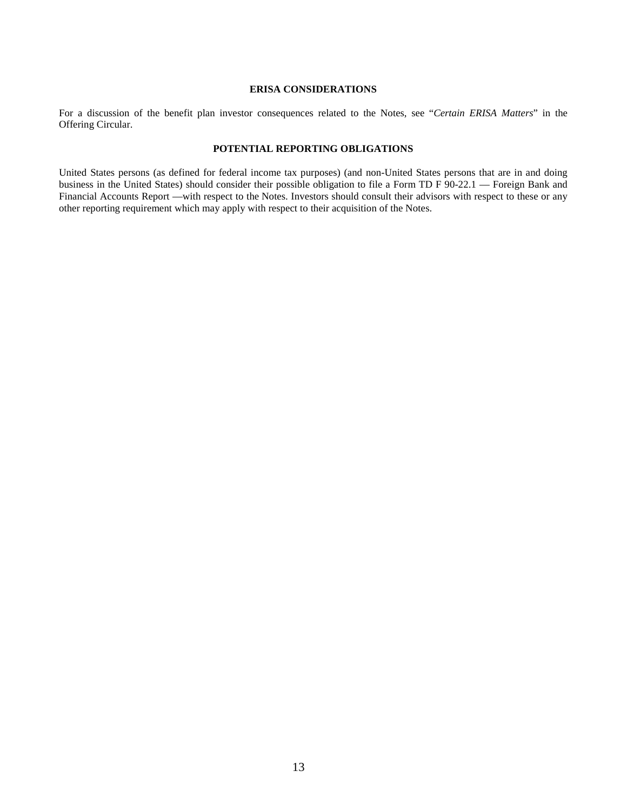### **ERISA CONSIDERATIONS**

For a discussion of the benefit plan investor consequences related to the Notes, see "*Certain ERISA Matters*" in the Offering Circular.

### **POTENTIAL REPORTING OBLIGATIONS**

United States persons (as defined for federal income tax purposes) (and non-United States persons that are in and doing business in the United States) should consider their possible obligation to file a Form TD F 90-22.1 — Foreign Bank and Financial Accounts Report —with respect to the Notes. Investors should consult their advisors with respect to these or any other reporting requirement which may apply with respect to their acquisition of the Notes.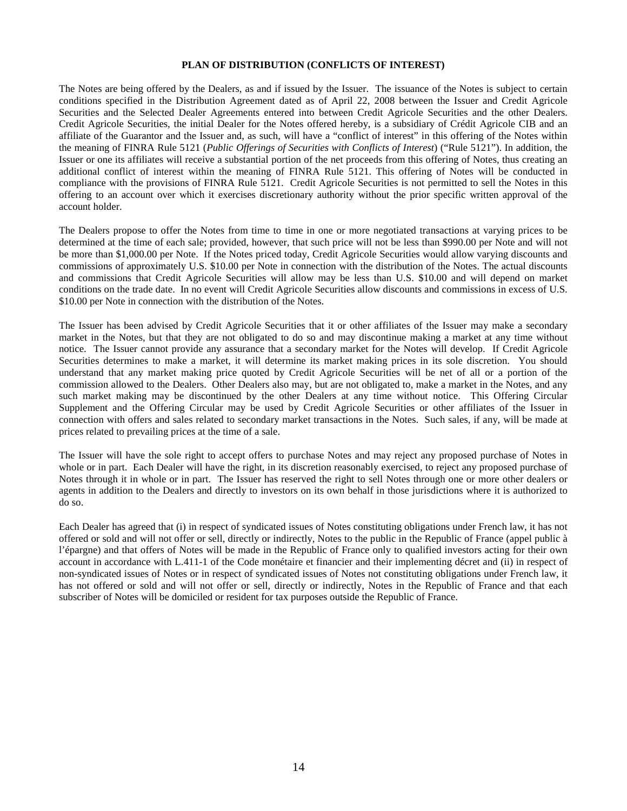### **PLAN OF DISTRIBUTION (CONFLICTS OF INTEREST)**

The Notes are being offered by the Dealers, as and if issued by the Issuer. The issuance of the Notes is subject to certain conditions specified in the Distribution Agreement dated as of April 22, 2008 between the Issuer and Credit Agricole Securities and the Selected Dealer Agreements entered into between Credit Agricole Securities and the other Dealers. Credit Agricole Securities, the initial Dealer for the Notes offered hereby, is a subsidiary of Crédit Agricole CIB and an affiliate of the Guarantor and the Issuer and, as such, will have a "conflict of interest" in this offering of the Notes within the meaning of FINRA Rule 5121 (*Public Offerings of Securities with Conflicts of Interest*) ("Rule 5121"). In addition, the Issuer or one its affiliates will receive a substantial portion of the net proceeds from this offering of Notes, thus creating an additional conflict of interest within the meaning of FINRA Rule 5121. This offering of Notes will be conducted in compliance with the provisions of FINRA Rule 5121. Credit Agricole Securities is not permitted to sell the Notes in this offering to an account over which it exercises discretionary authority without the prior specific written approval of the account holder.

The Dealers propose to offer the Notes from time to time in one or more negotiated transactions at varying prices to be determined at the time of each sale; provided, however, that such price will not be less than \$990.00 per Note and will not be more than \$1,000.00 per Note. If the Notes priced today, Credit Agricole Securities would allow varying discounts and commissions of approximately U.S. \$10.00 per Note in connection with the distribution of the Notes. The actual discounts and commissions that Credit Agricole Securities will allow may be less than U.S. \$10.00 and will depend on market conditions on the trade date. In no event will Credit Agricole Securities allow discounts and commissions in excess of U.S. \$10.00 per Note in connection with the distribution of the Notes.

The Issuer has been advised by Credit Agricole Securities that it or other affiliates of the Issuer may make a secondary market in the Notes, but that they are not obligated to do so and may discontinue making a market at any time without notice. The Issuer cannot provide any assurance that a secondary market for the Notes will develop. If Credit Agricole Securities determines to make a market, it will determine its market making prices in its sole discretion. You should understand that any market making price quoted by Credit Agricole Securities will be net of all or a portion of the commission allowed to the Dealers. Other Dealers also may, but are not obligated to, make a market in the Notes, and any such market making may be discontinued by the other Dealers at any time without notice. This Offering Circular Supplement and the Offering Circular may be used by Credit Agricole Securities or other affiliates of the Issuer in connection with offers and sales related to secondary market transactions in the Notes. Such sales, if any, will be made at prices related to prevailing prices at the time of a sale.

The Issuer will have the sole right to accept offers to purchase Notes and may reject any proposed purchase of Notes in whole or in part. Each Dealer will have the right, in its discretion reasonably exercised, to reject any proposed purchase of Notes through it in whole or in part. The Issuer has reserved the right to sell Notes through one or more other dealers or agents in addition to the Dealers and directly to investors on its own behalf in those jurisdictions where it is authorized to do so.

Each Dealer has agreed that (i) in respect of syndicated issues of Notes constituting obligations under French law, it has not offered or sold and will not offer or sell, directly or indirectly, Notes to the public in the Republic of France (appel public à l'épargne) and that offers of Notes will be made in the Republic of France only to qualified investors acting for their own account in accordance with L.411-1 of the Code monétaire et financier and their implementing décret and (ii) in respect of non-syndicated issues of Notes or in respect of syndicated issues of Notes not constituting obligations under French law, it has not offered or sold and will not offer or sell, directly or indirectly, Notes in the Republic of France and that each subscriber of Notes will be domiciled or resident for tax purposes outside the Republic of France.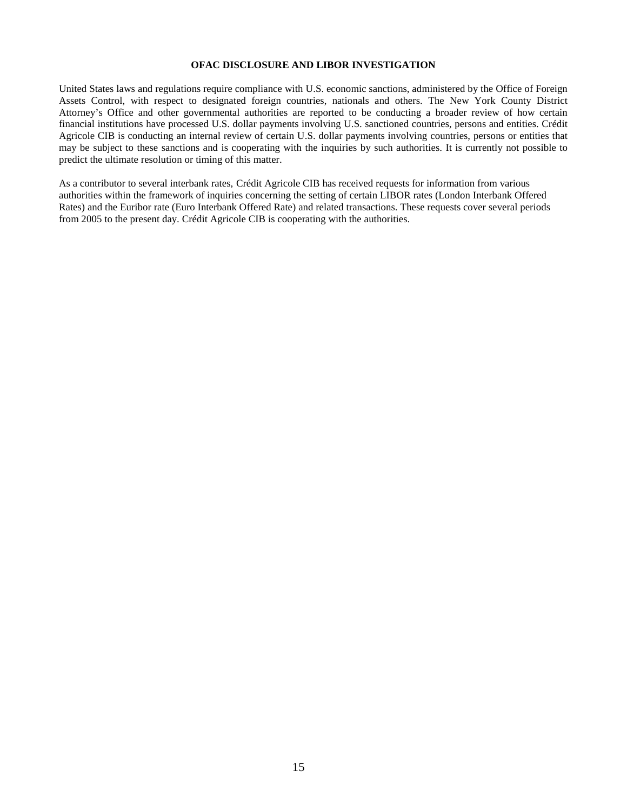### **OFAC DISCLOSURE AND LIBOR INVESTIGATION**

United States laws and regulations require compliance with U.S. economic sanctions, administered by the Office of Foreign Assets Control, with respect to designated foreign countries, nationals and others. The New York County District Attorney's Office and other governmental authorities are reported to be conducting a broader review of how certain financial institutions have processed U.S. dollar payments involving U.S. sanctioned countries, persons and entities. Crédit Agricole CIB is conducting an internal review of certain U.S. dollar payments involving countries, persons or entities that may be subject to these sanctions and is cooperating with the inquiries by such authorities. It is currently not possible to predict the ultimate resolution or timing of this matter.

As a contributor to several interbank rates, Crédit Agricole CIB has received requests for information from various authorities within the framework of inquiries concerning the setting of certain LIBOR rates (London Interbank Offered Rates) and the Euribor rate (Euro Interbank Offered Rate) and related transactions. These requests cover several periods from 2005 to the present day. Crédit Agricole CIB is cooperating with the authorities.